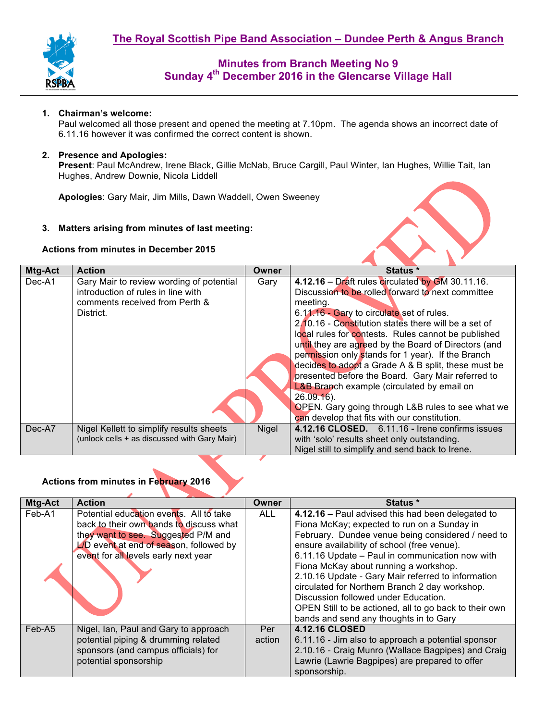

#### **1. Chairman's welcome:**

Paul welcomed all those present and opened the meeting at 7.10pm. The agenda shows an incorrect date of 6.11.16 however it was confirmed the correct content is shown.

### **2. Presence and Apologies:**

**Present**: Paul McAndrew, Irene Black, Gillie McNab, Bruce Cargill, Paul Winter, Ian Hughes, Willie Tait, Ian Hughes, Andrew Downie, Nicola Liddell

**Apologies**: Gary Mair, Jim Mills, Dawn Waddell, Owen Sweeney

#### **3. Matters arising from minutes of last meeting:**

#### **Actions from minutes in December 2015**



| 4.12.16 - Draft rules circulated by GM 30.11.16.<br>Gary Mair to review wording of potential<br>Dec-A1<br>Gary<br>Discussion to be rolled forward to next committee<br>introduction of rules in line with<br>comments received from Perth &<br>meeting.<br>6.11.16 - Gary to circulate set of rules.<br>District.<br>2.10.16 - Constitution states there will be a set of<br>local rules for contests. Rules cannot be published<br>until they are agreed by the Board of Directors (and<br>permission only stands for 1 year). If the Branch<br>decides to adopt a Grade A & B split, these must be<br>presented before the Board. Gary Mair referred to<br><b>L&amp;B Branch example (circulated by email on</b><br>$26.09.16$ .<br>OPEN. Gary going through L&B rules to see what we<br>can develop that fits with our constitution. |  |
|-----------------------------------------------------------------------------------------------------------------------------------------------------------------------------------------------------------------------------------------------------------------------------------------------------------------------------------------------------------------------------------------------------------------------------------------------------------------------------------------------------------------------------------------------------------------------------------------------------------------------------------------------------------------------------------------------------------------------------------------------------------------------------------------------------------------------------------------|--|
| 4.12.16 CLOSED. 6.11.16 - Irene confirms issues<br>Dec-A7<br>Nigel Kellett to simplify results sheets<br>Nigel                                                                                                                                                                                                                                                                                                                                                                                                                                                                                                                                                                                                                                                                                                                          |  |
| (unlock cells + as discussed with Gary Mair)<br>with 'solo' results sheet only outstanding.                                                                                                                                                                                                                                                                                                                                                                                                                                                                                                                                                                                                                                                                                                                                             |  |
| Nigel still to simplify and send back to Irene.                                                                                                                                                                                                                                                                                                                                                                                                                                                                                                                                                                                                                                                                                                                                                                                         |  |

## **Actions from minutes in February 2016**

| Mtg-Act | <b>Action</b>                           | Owner  | Status *                                               |
|---------|-----------------------------------------|--------|--------------------------------------------------------|
| Feb-A1  | Potential education events. All to take | ALL    | 4.12.16 - Paul advised this had been delegated to      |
|         | back to their own bands to discuss what |        | Fiona McKay; expected to run on a Sunday in            |
|         | they want to see. Suggested P/M and     |        | February. Dundee venue being considered / need to      |
|         | L/D event at end of season, followed by |        | ensure availability of school (free venue).            |
|         | event for all levels early next year    |        | 6.11.16 Update - Paul in communication now with        |
|         |                                         |        | Fiona McKay about running a workshop.                  |
|         |                                         |        | 2.10.16 Update - Gary Mair referred to information     |
|         |                                         |        | circulated for Northern Branch 2 day workshop.         |
|         |                                         |        | Discussion followed under Education.                   |
|         |                                         |        | OPEN Still to be actioned, all to go back to their own |
|         |                                         |        | bands and send any thoughts in to Gary                 |
| Feb-A5  | Nigel, Ian, Paul and Gary to approach   | Per    | <b>4.12.16 CLOSED</b>                                  |
|         | potential piping & drumming related     | action | 6.11.16 - Jim also to approach a potential sponsor     |
|         | sponsors (and campus officials) for     |        | 2.10.16 - Craig Munro (Wallace Bagpipes) and Craig     |
|         | potential sponsorship                   |        | Lawrie (Lawrie Bagpipes) are prepared to offer         |
|         |                                         |        | sponsorship.                                           |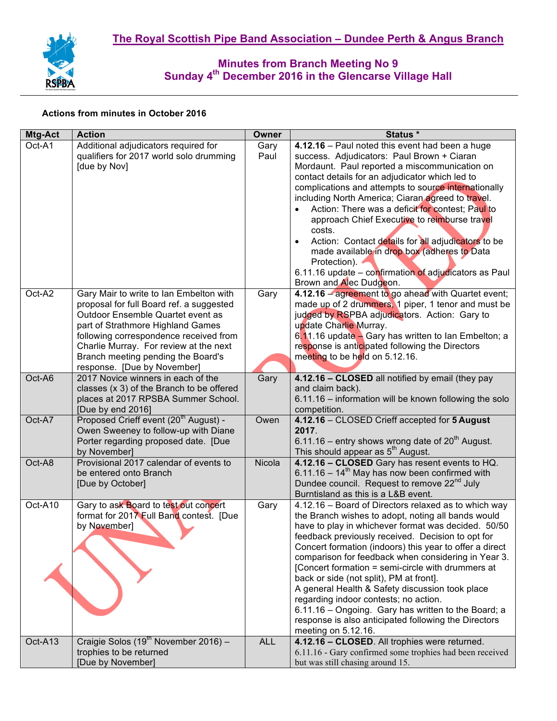

## **Actions from minutes in October 2016**

| Mtg-Act | <b>Action</b>                                                                                                                                                                                                                                                                                                          | <b>Owner</b> | Status *                                                                                                                                                                                                                                                                                                                                                                                                                                                                                                                                                                                                                                                                   |
|---------|------------------------------------------------------------------------------------------------------------------------------------------------------------------------------------------------------------------------------------------------------------------------------------------------------------------------|--------------|----------------------------------------------------------------------------------------------------------------------------------------------------------------------------------------------------------------------------------------------------------------------------------------------------------------------------------------------------------------------------------------------------------------------------------------------------------------------------------------------------------------------------------------------------------------------------------------------------------------------------------------------------------------------------|
| Oct-A1  | Additional adjudicators required for<br>qualifiers for 2017 world solo drumming<br>[due by Nov]                                                                                                                                                                                                                        | Gary<br>Paul | 4.12.16 - Paul noted this event had been a huge<br>success. Adjudicators: Paul Brown + Ciaran<br>Mordaunt. Paul reported a miscommunication on<br>contact details for an adjudicator which led to<br>complications and attempts to source internationally<br>including North America; Ciaran agreed to travel.<br>• Action: There was a deficit for contest; Paul to<br>approach Chief Executive to reimburse travel<br>costs.<br>Action: Contact details for all adjudicators to be<br>made available in drop box (adheres to Data<br>Protection).<br>6.11.16 update - confirmation of adjudicators as Paul<br>Brown and Alec Dudgeon.                                    |
| Oct-A2  | Gary Mair to write to Ian Embelton with<br>proposal for full Board ref. a suggested<br>Outdoor Ensemble Quartet event as<br>part of Strathmore Highland Games<br>following correspondence received from<br>Charlie Murray. For review at the next<br>Branch meeting pending the Board's<br>response. [Due by November] | Gary         | 4.12.16 - agreement to go ahead with Quartet event;<br>made up of 2 drummers, 1 piper, 1 tenor and must be<br>judged by RSPBA adjudicators. Action: Gary to<br>update Charlie Murray.<br>6.11.16 update - Gary has written to Ian Embelton; a<br>response is anticipated following the Directors<br>meeting to be held on 5.12.16.                                                                                                                                                                                                                                                                                                                                         |
| Oct-A6  | 2017 Novice winners in each of the<br>classes (x 3) of the Branch to be offered<br>places at 2017 RPSBA Summer School.<br>[Due by end 2016]                                                                                                                                                                            | Gary         | 4.12.16 - CLOSED all notified by email (they pay<br>and claim back).<br>6.11.16 - information will be known following the solo<br>competition.                                                                                                                                                                                                                                                                                                                                                                                                                                                                                                                             |
| Oct-A7  | Proposed Crieff event (20 <sup>th</sup> August) -<br>Owen Sweeney to follow-up with Diane<br>Porter regarding proposed date. [Due<br>by November]                                                                                                                                                                      | Owen         | 4.12.16 - CLOSED Crieff accepted for 5 August<br>2017.<br>6.11.16 – entry shows wrong date of $20^{th}$ August.<br>This should appear as 5 <sup>th</sup> August.                                                                                                                                                                                                                                                                                                                                                                                                                                                                                                           |
| Oct-A8  | Provisional 2017 calendar of events to<br>be entered onto Branch<br>[Due by October]                                                                                                                                                                                                                                   | Nicola       | 4.12.16 - CLOSED Gary has resent events to HQ.<br>$6.11.16 - 14th$ May has now been confirmed with<br>Dundee council. Request to remove 22 <sup>nd</sup> July<br>Burntisland as this is a L&B event.                                                                                                                                                                                                                                                                                                                                                                                                                                                                       |
| Oct-A10 | Gary to ask Board to test out concert<br>format for 2017 Full Band contest. [Due<br>by November]                                                                                                                                                                                                                       | Gary         | 4.12.16 - Board of Directors relaxed as to which way<br>the Branch wishes to adopt, noting all bands would<br>have to play in whichever format was decided. 50/50<br>feedback previously received. Decision to opt for<br>Concert formation (indoors) this year to offer a direct<br>comparison for feedback when considering in Year 3.<br>[Concert formation = semi-circle with drummers at<br>back or side (not split), PM at front].<br>A general Health & Safety discussion took place<br>regarding indoor contests; no action.<br>6.11.16 - Ongoing. Gary has written to the Board; a<br>response is also anticipated following the Directors<br>meeting on 5.12.16. |
| Oct-A13 | Craigie Solos (19 <sup>th</sup> November 2016) -                                                                                                                                                                                                                                                                       | <b>ALL</b>   | 4.12.16 - CLOSED. All trophies were returned.                                                                                                                                                                                                                                                                                                                                                                                                                                                                                                                                                                                                                              |
|         | trophies to be returned<br>[Due by November]                                                                                                                                                                                                                                                                           |              | 6.11.16 - Gary confirmed some trophies had been received<br>but was still chasing around 15.                                                                                                                                                                                                                                                                                                                                                                                                                                                                                                                                                                               |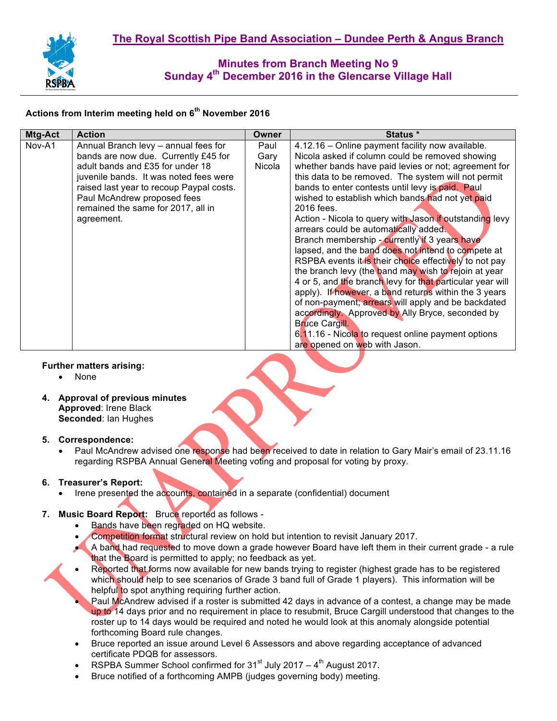

# **Actions from Interim meeting held on 6th November 2016**

| Mtg-Act<br><b>Action</b>                                                                                                                                                                                                                                                                            | <b>Owner</b>           | Status *                                                                                                                                                                                                                                                                                                                                                                                                                                                                                                                                                                                                                                                                                                                                                                                                                                                                                                                                                                                                               |
|-----------------------------------------------------------------------------------------------------------------------------------------------------------------------------------------------------------------------------------------------------------------------------------------------------|------------------------|------------------------------------------------------------------------------------------------------------------------------------------------------------------------------------------------------------------------------------------------------------------------------------------------------------------------------------------------------------------------------------------------------------------------------------------------------------------------------------------------------------------------------------------------------------------------------------------------------------------------------------------------------------------------------------------------------------------------------------------------------------------------------------------------------------------------------------------------------------------------------------------------------------------------------------------------------------------------------------------------------------------------|
| Nov-A1<br>Annual Branch levy - annual fees for<br>bands are now due. Currently £45 for<br>adult bands and £35 for under 18<br>juvenile bands. It was noted fees were<br>raised last year to recoup Paypal costs.<br>Paul McAndrew proposed fees<br>remained the same for 2017, all in<br>agreement. | Paul<br>Gary<br>Nicola | 4.12.16 - Online payment facility now available.<br>Nicola asked if column could be removed showing<br>whether bands have paid levies or not; agreement for<br>this data to be removed. The system will not permit<br>bands to enter contests until levy is paid. Paul<br>wished to establish which bands had not yet paid<br>2016 fees.<br>Action - Nicola to query with Jason if outstanding levy<br>arrears could be automatically added.<br>Branch membership - currently if 3 years have<br>lapsed, and the band does not intend to compete at<br>RSPBA events it is their choice effectively to not pay<br>the branch levy (the band may wish to rejoin at year<br>4 or 5, and the branch levy for that particular year will<br>apply). If however, a band returns within the 3 years<br>of non-payment; arrears will apply and be backdated<br>accordingly. Approved by Ally Bryce, seconded by<br><b>Bruce Cargill.</b><br>6.11.16 - Nicola to request online payment options<br>are opened on web with Jason. |

### **Further matters arising:**

- None
- **4. Approval of previous minutes Approved**: Irene Black **Seconded**: Ian Hughes

### **5. Correspondence:**

• Paul McAndrew advised one response had been received to date in relation to Gary Mair's email of 23.11.16 regarding RSPBA Annual General Meeting voting and proposal for voting by proxy.

## **6. Treasurer's Report:**

Irene presented the accounts, contained in a separate (confidential) document

## **7. Music Board Report:** Bruce reported as follows -

- Bands have been regraded on HQ website.
- Competition format structural review on hold but intention to revisit January 2017.
- A band had requested to move down a grade however Board have left them in their current grade a rule that the Board is permitted to apply; no feedback as yet.
- Reported that forms now available for new bands trying to register (highest grade has to be registered which should help to see scenarios of Grade 3 band full of Grade 1 players). This information will be helpful to spot anything requiring further action.
	- Paul McAndrew advised if a roster is submitted 42 days in advance of a contest, a change may be made up to 14 days prior and no requirement in place to resubmit, Bruce Cargill understood that changes to the roster up to 14 days would be required and noted he would look at this anomaly alongside potential forthcoming Board rule changes.
- Bruce reported an issue around Level 6 Assessors and above regarding acceptance of advanced certificate PDQB for assessors.
- RSPBA Summer School confirmed for  $31<sup>st</sup>$  July 2017  $4<sup>th</sup>$  August 2017.
- Bruce notified of a forthcoming AMPB (judges governing body) meeting.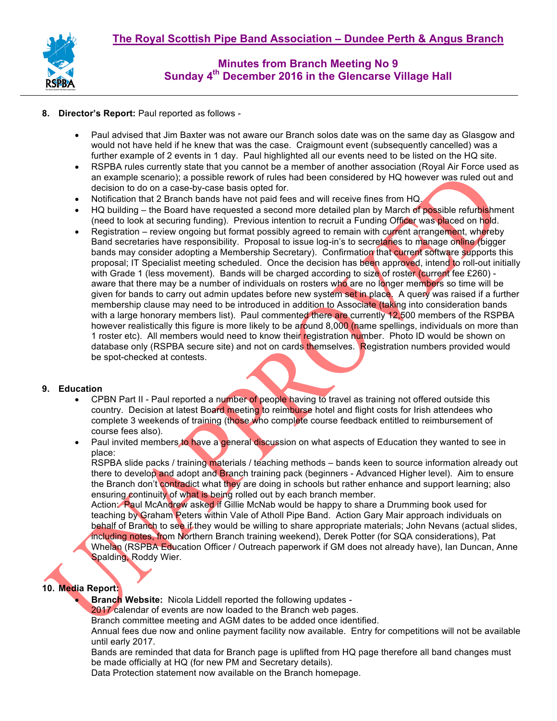

- **8. Director's Report:** Paul reported as follows
	- Paul advised that Jim Baxter was not aware our Branch solos date was on the same day as Glasgow and would not have held if he knew that was the case. Craigmount event (subsequently cancelled) was a further example of 2 events in 1 day. Paul highlighted all our events need to be listed on the HQ site.
	- RSPBA rules currently state that you cannot be a member of another association (Royal Air Force used as an example scenario); a possible rework of rules had been considered by HQ however was ruled out and decision to do on a case-by-case basis opted for.
	- Notification that 2 Branch bands have not paid fees and will receive fines from HQ.
	- HQ building the Board have requested a second more detailed plan by March of possible refurbishment (need to look at securing funding). Previous intention to recruit a Funding Officer was placed on hold.
	- Registration review ongoing but format possibly agreed to remain with current arrangement, whereby Band secretaries have responsibility. Proposal to issue log-in's to secretaries to manage online (bigger bands may consider adopting a Membership Secretary). Confirmation that current software supports this proposal; IT Specialist meeting scheduled. Once the decision has been approved, intend to roll-out initially with Grade 1 (less movement). Bands will be charged according to size of roster (current fee £260) aware that there may be a number of individuals on rosters who are no longer members so time will be given for bands to carry out admin updates before new system set in place. A query was raised if a further membership clause may need to be introduced in addition to Associate (taking into consideration bands with a large honorary members list). Paul commented there are currently 12,500 members of the RSPBA however realistically this figure is more likely to be around 8,000 (name spellings, individuals on more than 1 roster etc). All members would need to know their registration number. Photo ID would be shown on database only (RSPBA secure site) and not on cards themselves. Registration numbers provided would be spot-checked at contests.

### **9. Education**

- CPBN Part II Paul reported a number of people having to travel as training not offered outside this country. Decision at latest Board meeting to reimburse hotel and flight costs for Irish attendees who complete 3 weekends of training (those who complete course feedback entitled to reimbursement of course fees also).
- Paul invited members to have a general discussion on what aspects of Education they wanted to see in place:

RSPBA slide packs / training materials / teaching methods – bands keen to source information already out there to develop and adopt and Branch training pack (beginners - Advanced Higher level). Aim to ensure the Branch don't contradict what they are doing in schools but rather enhance and support learning; also ensuring continuity of what is being rolled out by each branch member.

Action: **Paul McAndrew asked if Gillie McNab would be happy to share a Drumming book used for** teaching by Graham Peters within Vale of Atholl Pipe Band. Action Gary Mair approach individuals on behalf of Branch to see if they would be willing to share appropriate materials; John Nevans (actual slides, including notes, from Northern Branch training weekend), Derek Potter (for SQA considerations), Pat Whelan (RSPBA Education Officer / Outreach paperwork if GM does not already have), Ian Duncan, Anne Spalding, Roddy Wier.

## **10. Media Report:**

• **Branch Website:** Nicola Liddell reported the following updates -

2017 calendar of events are now loaded to the Branch web pages.

Branch committee meeting and AGM dates to be added once identified.

Annual fees due now and online payment facility now available. Entry for competitions will not be available until early 2017.

Bands are reminded that data for Branch page is uplifted from HQ page therefore all band changes must be made officially at HQ (for new PM and Secretary details).

Data Protection statement now available on the Branch homepage.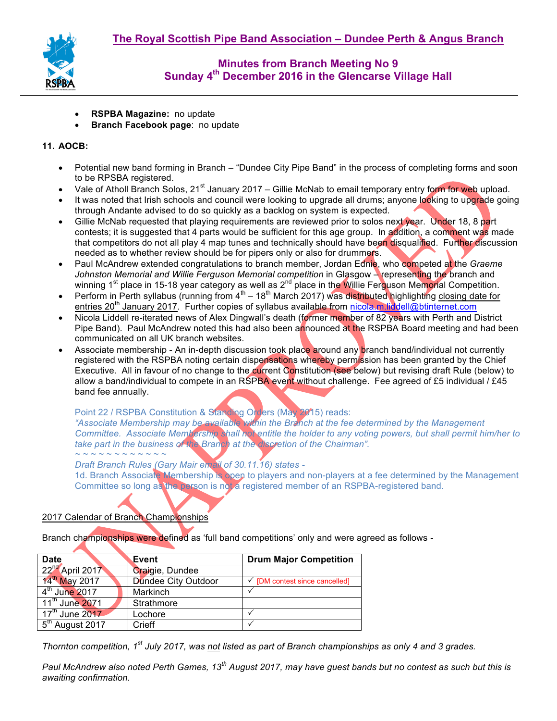

- **RSPBA Magazine:** no update
- **Branch Facebook page**: no update

### **11. AOCB:**

- Potential new band forming in Branch "Dundee City Pipe Band" in the process of completing forms and soon to be RPSBA registered.
- Vale of Atholl Branch Solos, 21<sup>st</sup> January 2017 Gillie McNab to email temporary entry form for web upload.
- It was noted that Irish schools and council were looking to upgrade all drums; anyone looking to upgrade going through Andante advised to do so quickly as a backlog on system is expected.
- Gillie McNab requested that playing requirements are reviewed prior to solos next year. Under 18, 8 part contests; it is suggested that 4 parts would be sufficient for this age group. In addition, a comment was made that competitors do not all play 4 map tunes and technically should have been disqualified. Further discussion needed as to whether review should be for pipers only or also for drummers.
- Paul McAndrew extended congratulations to branch member, Jordan Ednie, who competed at the *Graeme Johnston Memorial and Willie Ferguson Memorial competition* in Glasgow – representing the branch and winning 1<sup>st</sup> place in 15-18 year category as well as 2<sup>nd</sup> place in the Willie Ferguson Memorial Competition.
- Perform in Perth syllabus (running from  $4^{\text{th}} 18^{\text{th}}$  March 2017) was distributed highlighting closing date for entries 20<sup>th</sup> January 2017. Further copies of syllabus available from nicola.m.liddell@btinternet.com
- Nicola Liddell re-iterated news of Alex Dingwall's death (former member of 82 years with Perth and District Pipe Band). Paul McAndrew noted this had also been announced at the RSPBA Board meeting and had been communicated on all UK branch websites.
- Associate membership An in-depth discussion took place around any branch band/individual not currently registered with the RSPBA noting certain dispensations whereby permission has been granted by the Chief Executive. All in favour of no change to the current Constitution (see below) but revising draft Rule (below) to allow a band/individual to compete in an RSPBA event without challenge. Fee agreed of £5 individual / £45 band fee annually.

Point 22 / RSPBA Constitution & Standing Orders (May 2015) reads:

*"Associate Membership may be available within the Branch at the fee determined by the Management Committee. Associate Membership shall not entitle the holder to any voting powers, but shall permit him/her to take part in the business of the Branch at the discretion of the Chairman". ~ ~ ~ ~ ~ ~ ~ ~ ~ ~ ~ ~*

*Draft Branch Rules (Gary Mair email of 30.11.16) states -*

1d. Branch Associate Membership is open to players and non-players at a fee determined by the Management Committee so long as the person is not a registered member of an RSPBA-registered band.

### 2017 Calendar of Branch Championships

Branch championships were defined as 'full band competitions' only and were agreed as follows -

| <b>Date</b>                 | Event                      | <b>Drum Major Competition</b>             |
|-----------------------------|----------------------------|-------------------------------------------|
| 22 <sup>nd</sup> April 2017 | Craigie, Dundee            |                                           |
| 14th May 2017               | <b>Dundee City Outdoor</b> | $\checkmark$ [DM contest since cancelled] |
| 4 <sup>th</sup> June 2017   | Markinch                   |                                           |
| 11 <sup>th</sup> June 2071  | Strathmore                 |                                           |
| $17th$ June 2017            | Lochore                    |                                           |
| $5th$ August 2017           | Crieff                     |                                           |

*Thornton competition, 1st July 2017, was not listed as part of Branch championships as only 4 and 3 grades.* 

*Paul McAndrew also noted Perth Games, 13th August 2017, may have guest bands but no contest as such but this is awaiting confirmation.*